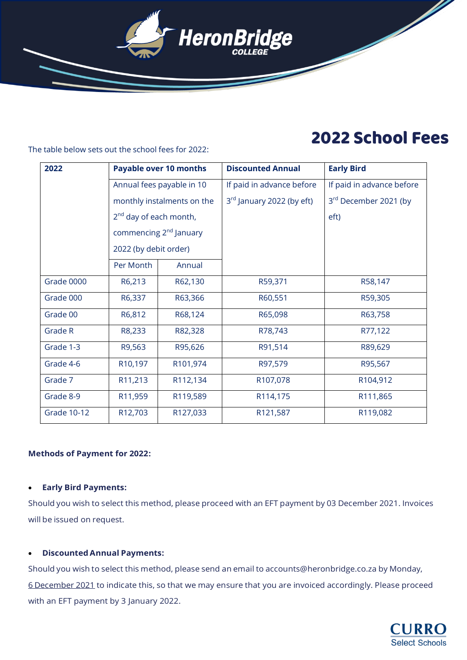

# 2022 School Fees

The table below sets out the school fees for 2022:

| 2022               |                                    | <b>Payable over 10 months</b> | <b>Discounted Annual</b>              | <b>Early Bird</b>         |
|--------------------|------------------------------------|-------------------------------|---------------------------------------|---------------------------|
|                    |                                    |                               |                                       |                           |
|                    | Annual fees payable in 10          |                               | If paid in advance before             | If paid in advance before |
|                    | monthly instalments on the         |                               | 3 <sup>rd</sup> January 2022 (by eft) | 3rd December 2021 (by     |
|                    | 2 <sup>nd</sup> day of each month, |                               |                                       | eft)                      |
|                    | commencing 2 <sup>nd</sup> January |                               |                                       |                           |
|                    | 2022 (by debit order)              |                               |                                       |                           |
|                    | Per Month                          | Annual                        |                                       |                           |
| Grade 0000         | R6,213                             | R62,130                       | R59,371                               | R58,147                   |
| Grade 000          | R6,337                             | R63,366                       | R60,551                               | R59,305                   |
| Grade 00           | R6,812                             | R68,124                       | R65,098                               | R63,758                   |
| Grade R            | R8,233                             | R82,328                       | R78,743                               | R77,122                   |
| Grade 1-3          | R9,563                             | R95,626                       | R91,514                               | R89,629                   |
| Grade 4-6          | R <sub>10</sub> ,197               | R101,974                      | R97,579                               | R95,567                   |
| Grade 7            | R11,213                            | R112,134                      | R107,078                              | R104,912                  |
| Grade 8-9          | R11,959                            | R119,589                      | R114,175                              | R111,865                  |
| <b>Grade 10-12</b> | R12,703                            | R127,033                      | R121,587                              | R119,082                  |

### **Methods of Payment for 2022:**

#### • **Early Bird Payments:**

Should you wish to select this method, please proceed with an EFT payment by 03 December 2021. Invoices will be issued on request.

## • **DiscountedAnnual Payments:**

Should you wish to select this method, please send an email to [accounts@heronbridge.co.za](mailto:accounts@heronbridge.co.za) by Monday, 6 December 2021 to indicate this, so that we may ensure that you are invoiced accordingly. Please proceed with an EFT payment by 3 January 2022.

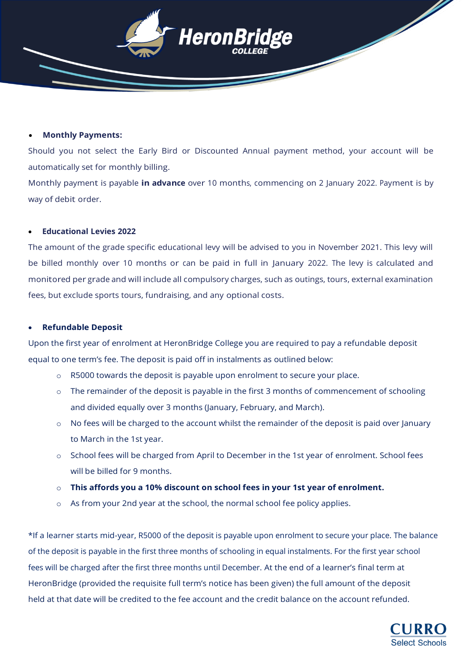

#### • **Monthly Payments:**

Should you not select the Early Bird or Discounted Annual payment method, your account will be automatically set for monthly billing.

Monthly payment is payable **in advance** over 10 months, commencing on 2 January 2022. Payment is by way of debit order.

#### • **Educational Levies 2022**

The amount of the grade specific educational levy will be advised to you in November 2021. This levy will be billed monthly over 10 months or can be paid in full in January 2022. The levy is calculated and monitored per grade and will include all compulsory charges, such as outings, tours, external examination fees, but exclude sports tours, fundraising, and any optional costs.

#### • **Refundable Deposit**

Upon the first year of enrolment at HeronBridge College you are required to pay a refundable deposit equal to one term's fee. The deposit is paid off in instalments as outlined below:

- o R5000 towards the deposit is payable upon enrolment to secure your place.
- $\circ$  The remainder of the deposit is payable in the first 3 months of commencement of schooling and divided equally over 3 months (January, February, and March).
- o No fees will be charged to the account whilst the remainder of the deposit is paid over January to March in the 1st year.
- o School fees will be charged from April to December in the 1st year of enrolment. School fees will be billed for 9 months.
- o **This affords you a 10% discount on school fees in your 1st year of enrolment.**
- o As from your 2nd year at the school, the normal school fee policy applies.

\*If a learner starts mid-year, R5000 of the deposit is payable upon enrolment to secure your place. The balance of the deposit is payable in the first three months of schooling in equal instalments. For the first year school fees will be charged after the first three months until December. At the end of a learner's final term at HeronBridge (provided the requisite full term's notice has been given) the full amount of the deposit held at that date will be credited to the fee account and the credit balance on the account refunded.